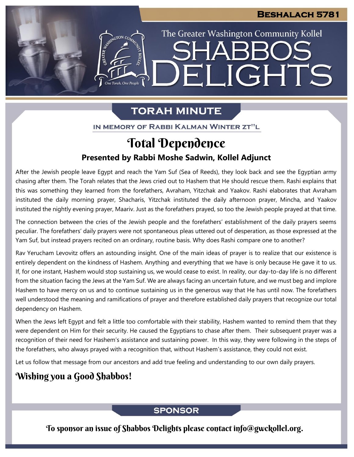The Greater Washington Community Kollel

ELIGHTS

# **TORAH MINUTE**

ESTER AND CON CON

IN MEMORY OF RABBI KALMAN WINTER ZT"L

# **Presented by Rabbi Moshe Sadwin, Kollel Adjunct** Total Dependence

After the Jewish people leave Egypt and reach the Yam Suf (Sea of Reeds), they look back and see the Egyptian army chasing after them. The Torah relates that the Jews cried out to Hashem that He should rescue them. Rashi explains that this was something they learned from the forefathers, Avraham, Yitzchak and Yaakov. Rashi elaborates that Avraham instituted the daily morning prayer, Shacharis, Yitzchak instituted the daily afternoon prayer, Mincha, and Yaakov instituted the nightly evening prayer, Maariv. Just as the forefathers prayed, so too the Jewish people prayed at that time.

The connection between the cries of the Jewish people and the forefathers' establishment of the daily prayers seems peculiar. The forefathers' daily prayers were not spontaneous pleas uttered out of desperation, as those expressed at the Yam Suf, but instead prayers recited on an ordinary, routine basis. Why does Rashi compare one to another?

Rav Yerucham Levovitz offers an astounding insight. One of the main ideas of prayer is to realize that our existence is entirely dependent on the kindness of Hashem. Anything and everything that we have is only because He gave it to us. If, for one instant, Hashem would stop sustaining us, we would cease to exist. In reality, our day-to-day life is no different from the situation facing the Jews at the Yam Suf. We are always facing an uncertain future, and we must beg and implore Hashem to have mercy on us and to continue sustaining us in the generous way that He has until now. The forefathers well understood the meaning and ramifications of prayer and therefore established daily prayers that recognize our total dependency on Hashem.

When the Jews left Egypt and felt a little too comfortable with their stability, Hashem wanted to remind them that they were dependent on Him for their security. He caused the Egyptians to chase after them. Their subsequent prayer was a recognition of their need for Hashem's assistance and sustaining power. In this way, they were following in the steps of the forefathers, who always prayed with a recognition that, without Hashem's assistance, they could not exist.

Let us follow that message from our ancestors and add true feeling and understanding to our own daily prayers.

## Wishing you a Good Shabbos!

### **SPONSOR**

To sponsor an issue of Shabbos Delights please contact info@gwckollel.org.